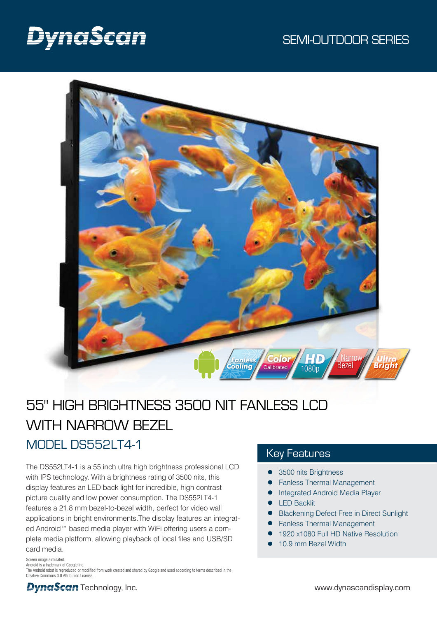# DynaScan



# 55" HIGH BRIGHTNESS 3500 NIT FANLESS LCD WITH NARROW BEZEL MODEL DS552LT4-1

The DS552LT4-1 is a 55 inch ultra high brightness professional LCD with IPS technology. With a brightness rating of 3500 nits, this display features an LED back light for incredible, high contrast picture quality and low power consumption. The DS552LT4-1 features a 21.8 mm bezel-to-bezel width, perfect for video wall applications in bright environments.The display features an integrated Android™ based media player with WiFi offering users a complete media platform, allowing playback of local files and USB/SD card media.

### Screen image simulated. Android is a trademark of Google Inc. The Android robot is reproduced or modified from work created and shared by Google and used according to terms described in the Creative Commons 3.0 Attribution License.

### Key Features

- 3500 nits Brightness
- Fanless Thermal Management
- Integrated Android Media Player
- LED Backlit
- Blackening Defect Free in Direct Sunlight
- Fanless Thermal Management
- 1920 x1080 Full HD Native Resolution
- 10.9 mm Bezel Width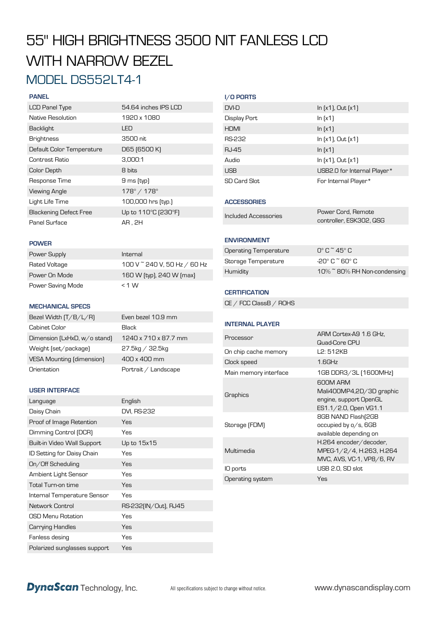# 55" HIGH BRIGHTNESS 3500 NIT FANLESS LCD WITH NARROW BEZEL MODEL DS552LT4-1

### **PANEL**

| <b>LCD Panel Type</b>         | 54.64 inches IPS LCD        |
|-------------------------------|-----------------------------|
| Native Resolution             | 1920 x 1080                 |
| Backlight                     | LED                         |
| <b>Brightness</b>             | 3500 nit                    |
| Default Color Temperature     | D65 (6500 K)                |
| Contrast Ratio                | 3.000:1                     |
| Color Depth                   | 8 bits                      |
| Response Time                 | 9 ms (typ)                  |
| <b>Viewing Angle</b>          | $178^{\circ} / 178^{\circ}$ |
| Light Life Time               | 100,000 hrs [typ.]          |
| <b>Blackening Defect Free</b> | Up to 110°C (230°F)         |
| Panel Surface                 | AR.2H                       |

| DVI-D        | $\ln [x1]$ , Out $[x1]$     |
|--------------|-----------------------------|
| Display Port | ln(x1)                      |
| <b>HDMI</b>  | ln(x1)                      |
| RS-232       | $\ln [x1]$ , Out $[x1]$     |
| <b>RJ-45</b> | $\ln(x1)$                   |
| Audio        | $\ln(x_1)$ , Out $(x_1)$    |
| <b>USB</b>   | USB2.0 for Internal Player* |
| SD Card Slot | For Internal Player*        |

### **ACCESSORIES**

**I/O PORTS**

| ncluded Accessories |  |
|---------------------|--|
|                     |  |

### **ENVIRONMENT**

| Operating Temperature | $\Gamma$ °C $\tilde{\Gamma}$ 45°C |
|-----------------------|-----------------------------------|
| Storage Temperature   | $-20^\circ$ C $\tilde{=}$ 60° C.  |
| Humidity              | 10% ~ 80% RH Non-condensing       |

Power Cord, Remote controller, ESK302, QSG

### **CERTIFICATION**

CE / FCC ClassB / ROHS

### **INTERNAL PLAYER**

| Processor             | ARM Cortex-A9 1.6 GHz,<br>Quad-Core CPU                                                 |
|-----------------------|-----------------------------------------------------------------------------------------|
| On chip cache memory  | L2: 512KB                                                                               |
| Clock speed           | $1.6$ GHz                                                                               |
| Main memory interface | 1GB DDR3/3L [1600MHz]                                                                   |
| Graphics              | 600M ARM<br>Mali400MP4,2D/3D graphic<br>engine, support OpenGL<br>ES1.1/2.0, Open VG1.1 |
| Storage (FDM)         | 8GB NAND Flash(2GB<br>occupied by o/s, 6GB<br>available depending on                    |
| Multimedia            | H.264 encoder/decoder,<br>MPEG-1/2/4, H.263, H.264<br>MVC, AVS, VC-1, VP8/6, RV         |
| IO ports              | USB 2.0, SD slot                                                                        |
| Operating system      | Yes                                                                                     |
|                       |                                                                                         |

#### **POWER**

| Power Supply      | Internal                     |
|-------------------|------------------------------|
| Rated Voltage     | 100 V ~ 240 V, 50 Hz / 60 Hz |
| Power On Mode     | 160 W (typ), 240 W (max)     |
| Power Saving Mode | $<$ 1 W                      |

### **MECHANICAL SPECS**

| Bezel Width $(T/B/L/R)$      | Even bezel 10.9 mm   |
|------------------------------|----------------------|
| Cabinet Color                | <b>Black</b>         |
| Dimension (LxHxD, w/o stand) | 1240 x 710 x 87.7 mm |
| Weight (set/package)         | $27.5$ kg / 32.5kg   |
| VESA Mounting (dimension)    | 400 x 400 mm         |
| Orientation                  | Portrait / Landscape |

### **USER INTERFACE**

| Language                     | English              |
|------------------------------|----------------------|
| Daisy Chain                  | DVI, RS-232          |
| Proof of Image Retention     | Yes                  |
| Dimming Control (DCR)        | Yes                  |
| Built-in Video Wall Support  | Up to 15x15          |
| ID Setting for Daisy Chain   | Yes                  |
| On/Off Scheduling            | Yes                  |
| Ambient Light Sensor         | Yes                  |
| Total Turn-on time           | Yes                  |
| Internal Temperature Sensor  | Yes                  |
| Network Control              | RS-232(IN/Out), RJ45 |
| OSD Menu Rotation            | Yes                  |
| Carrying Handles             | Yes                  |
| Fanless desing               | Yes                  |
| Polarized sunglasses support | Yes                  |

**DynaScan** Technology, Inc. All specifications subject to change without notice. www.dynascandisplay.com